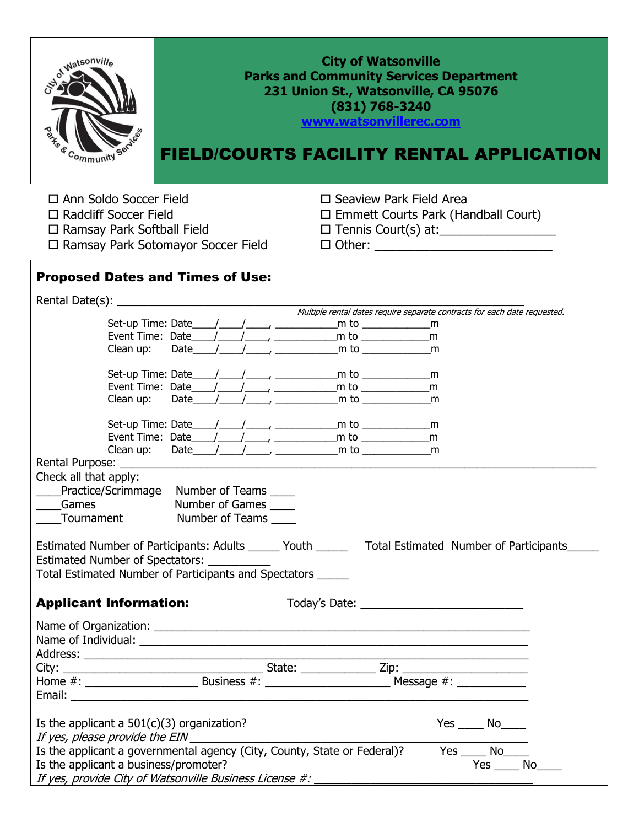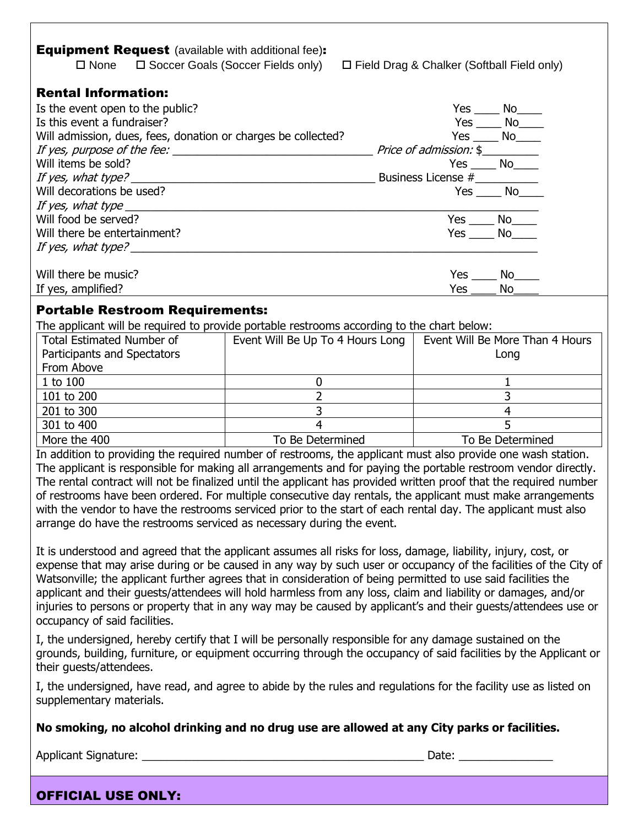| <b>Equipment Request</b> (available with additional fee):<br>$\square$ None                                                                                                                                                   | □ Soccer Goals (Soccer Fields only)                                | $\Box$ Field Drag & Chalker (Softball Field only)                                                                |
|-------------------------------------------------------------------------------------------------------------------------------------------------------------------------------------------------------------------------------|--------------------------------------------------------------------|------------------------------------------------------------------------------------------------------------------|
| <b>Rental Information:</b>                                                                                                                                                                                                    |                                                                    |                                                                                                                  |
| Is the event open to the public?                                                                                                                                                                                              |                                                                    | $Yes$ No______                                                                                                   |
| Is this event a fundraiser?                                                                                                                                                                                                   |                                                                    | $Yes$ No                                                                                                         |
| Will admission, dues, fees, donation or charges be collected?                                                                                                                                                                 |                                                                    | $Yes$ No $\_\_$                                                                                                  |
|                                                                                                                                                                                                                               |                                                                    |                                                                                                                  |
|                                                                                                                                                                                                                               |                                                                    |                                                                                                                  |
|                                                                                                                                                                                                                               |                                                                    |                                                                                                                  |
| Will decorations be used?                                                                                                                                                                                                     |                                                                    | $Yes \_\_No \_\_$                                                                                                |
|                                                                                                                                                                                                                               |                                                                    |                                                                                                                  |
| Will food be served?                                                                                                                                                                                                          |                                                                    | $Yes$ $No$                                                                                                       |
| Will there be entertainment?                                                                                                                                                                                                  |                                                                    | $Yes \_\_No \_\_$                                                                                                |
|                                                                                                                                                                                                                               |                                                                    |                                                                                                                  |
|                                                                                                                                                                                                                               |                                                                    |                                                                                                                  |
| Will there be music?                                                                                                                                                                                                          |                                                                    | $Yes$ No                                                                                                         |
| If yes, amplified?                                                                                                                                                                                                            |                                                                    | Yes $\_\_\_\_\_\$                                                                                                |
| <b>Portable Restroom Requirements:</b>                                                                                                                                                                                        |                                                                    |                                                                                                                  |
| The applicant will be required to provide portable restrooms according to the chart below:                                                                                                                                    |                                                                    |                                                                                                                  |
| <b>Total Estimated Number of</b>                                                                                                                                                                                              | Event Will Be Up To 4 Hours Long   Event Will Be More Than 4 Hours |                                                                                                                  |
| Participants and Spectators                                                                                                                                                                                                   |                                                                    | Long                                                                                                             |
| From Above                                                                                                                                                                                                                    |                                                                    |                                                                                                                  |
| 1 to 100                                                                                                                                                                                                                      | $\mathbf 0$                                                        | $\mathbf{1}$                                                                                                     |
| 101 to 200                                                                                                                                                                                                                    | $\overline{2}$                                                     | $\overline{3}$                                                                                                   |
| 201 to 300                                                                                                                                                                                                                    | $\overline{3}$                                                     | $\overline{4}$                                                                                                   |
| 301 to 400                                                                                                                                                                                                                    | $\overline{4}$                                                     | 5                                                                                                                |
| More the 400                                                                                                                                                                                                                  | To Be Determined                                                   | To Be Determined                                                                                                 |
| In addition to providing the required number of restrooms, the applicant must also provide one wash station.                                                                                                                  |                                                                    |                                                                                                                  |
| The applicant is responsible for making all arrangements and for paying the portable restroom vendor directly.                                                                                                                |                                                                    |                                                                                                                  |
| The rental contract will not be finalized until the applicant has provided written proof that the required number                                                                                                             |                                                                    |                                                                                                                  |
| of restrooms have been ordered. For multiple consecutive day rentals, the applicant must make arrangements                                                                                                                    |                                                                    |                                                                                                                  |
| with the vendor to have the restrooms serviced prior to the start of each rental day. The applicant must also                                                                                                                 |                                                                    |                                                                                                                  |
| arrange do have the restrooms serviced as necessary during the event.                                                                                                                                                         |                                                                    |                                                                                                                  |
|                                                                                                                                                                                                                               |                                                                    |                                                                                                                  |
| It is understood and agreed that the applicant assumes all risks for loss, damage, liability, injury, cost, or                                                                                                                |                                                                    |                                                                                                                  |
|                                                                                                                                                                                                                               |                                                                    | expense that may arise during or be caused in any way by such user or occupancy of the facilities of the City of |
| Watsonville; the applicant further agrees that in consideration of being permitted to use said facilities the                                                                                                                 |                                                                    |                                                                                                                  |
| applicant and their guests/attendees will hold harmless from any loss, claim and liability or damages, and/or                                                                                                                 |                                                                    |                                                                                                                  |
| injuries to persons or property that in any way may be caused by applicant's and their guests/attendees use or                                                                                                                |                                                                    |                                                                                                                  |
| occupancy of said facilities.                                                                                                                                                                                                 |                                                                    |                                                                                                                  |
|                                                                                                                                                                                                                               |                                                                    |                                                                                                                  |
| I, the undersigned, hereby certify that I will be personally responsible for any damage sustained on the<br>grounds, building, furniture, or equipment occurring through the occupancy of said facilities by the Applicant or |                                                                    |                                                                                                                  |
| their guests/attendees.                                                                                                                                                                                                       |                                                                    |                                                                                                                  |
|                                                                                                                                                                                                                               |                                                                    |                                                                                                                  |
| I, the undersigned, have read, and agree to abide by the rules and regulations for the facility use as listed on<br>supplementary materials.                                                                                  |                                                                    |                                                                                                                  |

## **No smoking, no alcohol drinking and no drug use are allowed at any City parks or facilities.**

Applicant Signature: \_\_\_\_\_\_\_\_\_\_\_\_\_\_\_\_\_\_\_\_\_\_\_\_\_\_\_\_\_\_\_\_\_\_\_\_\_\_\_\_\_\_\_\_\_ Date: \_\_\_\_\_\_\_\_\_\_\_\_\_\_\_

 $\Gamma$ 

٦

## OFFICIAL USE ONLY: